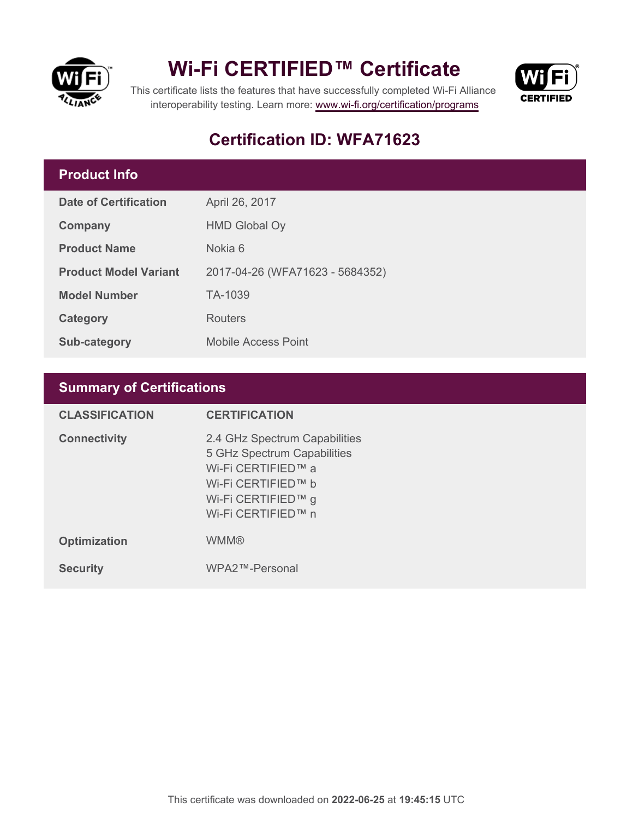

## **Wi-Fi CERTIFIED™ Certificate**



This certificate lists the features that have successfully completed Wi-Fi Alliance interoperability testing. Learn more:<www.wi-fi.org/certification/programs>

## **Certification ID: WFA71623**

### **Product Info**

| Date of Certification        | April 26, 2017                  |
|------------------------------|---------------------------------|
| Company                      | <b>HMD Global Oy</b>            |
| <b>Product Name</b>          | Nokia 6                         |
| <b>Product Model Variant</b> | 2017-04-26 (WFA71623 - 5684352) |
| <b>Model Number</b>          | TA-1039                         |
| Category                     | Routers                         |
| Sub-category                 | <b>Mobile Access Point</b>      |

## **Summary of Certifications**

| <b>CLASSIFICATION</b> | <b>CERTIFICATION</b>                                                                                                                                 |
|-----------------------|------------------------------------------------------------------------------------------------------------------------------------------------------|
| <b>Connectivity</b>   | 2.4 GHz Spectrum Capabilities<br>5 GHz Spectrum Capabilities<br>Wi-Fi CERTIFIED™ a<br>Wi-Fi CERTIFIED™ b<br>Wi-Fi CERTIFIED™ g<br>Wi-Fi CERTIFIED™ n |
| <b>Optimization</b>   | <b>WMM®</b>                                                                                                                                          |
| <b>Security</b>       | WPA2™-Personal                                                                                                                                       |